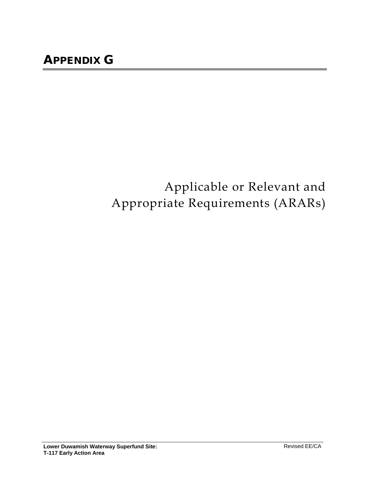## Applicable or Relevant and Appropriate Requirements (ARARs)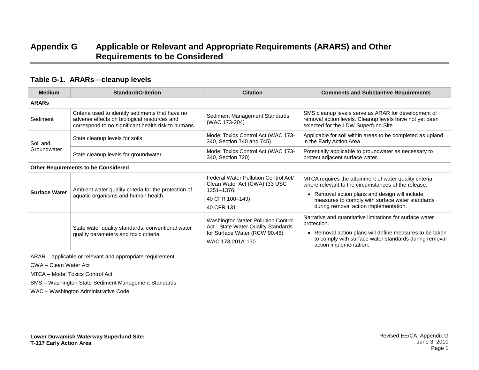## **Appendix G Applicable or Relevant and Appropriate Requirements (ARARS) and Other Requirements to be Considered**

## **Table G-1. ARARs—cleanup levels**

| <b>Medium</b>        | <b>Standard/Criterion</b>                                                                                                                              | <b>Citation</b>                                                                                                                | <b>Comments and Substantive Requirements</b>                                                                                                                                                                                                                |
|----------------------|--------------------------------------------------------------------------------------------------------------------------------------------------------|--------------------------------------------------------------------------------------------------------------------------------|-------------------------------------------------------------------------------------------------------------------------------------------------------------------------------------------------------------------------------------------------------------|
| <b>ARARS</b>         |                                                                                                                                                        |                                                                                                                                |                                                                                                                                                                                                                                                             |
| Sediment             | Criteria used to identify sediments that have no<br>adverse effects on biological resources and<br>correspond to no significant health risk to humans. | Sediment Management Standards<br>(WAC 173-204)                                                                                 | SMS cleanup levels serve as ARAR for development of<br>removal action levels. Cleanup levels have not yet been<br>selected for the LDW Superfund Site                                                                                                       |
| Soil and             | State cleanup levels for soils                                                                                                                         | Model Toxics Control Act (WAC 173-<br>340, Section 740 and 745)                                                                | Applicable for soil within areas to be completed as upland<br>in the Early Action Area.                                                                                                                                                                     |
| Groundwater          | State cleanup levels for groundwater                                                                                                                   | Model Toxics Control Act (WAC 173-<br>340, Section 720)                                                                        | Potentially applicable to groundwater as necessary to<br>protect adjacent surface water.                                                                                                                                                                    |
|                      | <b>Other Requirements to be Considered</b>                                                                                                             |                                                                                                                                |                                                                                                                                                                                                                                                             |
| <b>Surface Water</b> | Ambient water quality criteria for the protection of<br>aquatic organisms and human health.                                                            | Federal Water Pollution Control Act/<br>Clean Water Act (CWA) (33 USC<br>1251-1376;<br>40 CFR 100-149)<br>40 CFR 131           | MTCA requires the attainment of water quality criteria<br>where relevant to the circumstances of the release.<br>• Removal action plans and design will include<br>measures to comply with surface water standards<br>during removal action implementation. |
|                      | State water quality standards; conventional water<br>quality parameters and toxic criteria.                                                            | Washington Water Pollution Control<br>Act - State Water Quality Standards<br>for Surface Water (RCW 90.48)<br>WAC 173-201A-130 | Narrative and quantitative limitations for surface water<br>protection.<br>• Removal action plans will define measures to be taken<br>to comply with surface water standards during removal<br>action implementation.                                       |

ARAR – applicable or relevant and appropriate requirement

CWA – Clean Water Act

MTCA – Model Toxics Control Act

SMS – Washington State Sediment Management Standards

WAC – Washington Administrative Code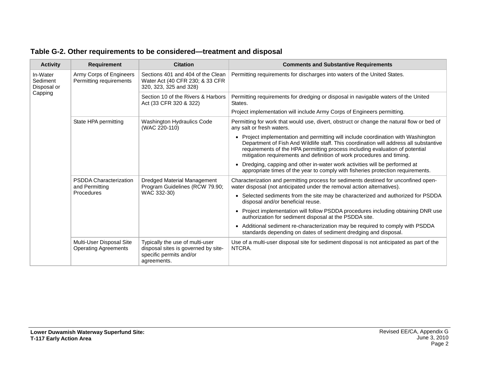| <b>Activity</b>                                | <b>Requirement</b>                                            | <b>Citation</b>                                                                                                  | <b>Comments and Substantive Requirements</b>                                                                                                                                                                                                                                                                                        |
|------------------------------------------------|---------------------------------------------------------------|------------------------------------------------------------------------------------------------------------------|-------------------------------------------------------------------------------------------------------------------------------------------------------------------------------------------------------------------------------------------------------------------------------------------------------------------------------------|
| In-Water<br>Sediment<br>Disposal or<br>Capping | Army Corps of Engineers<br>Permitting requirements            | Sections 401 and 404 of the Clean<br>Water Act (40 CFR 230; & 33 CFR<br>320, 323, 325 and 328)                   | Permitting requirements for discharges into waters of the United States.                                                                                                                                                                                                                                                            |
|                                                |                                                               | Section 10 of the Rivers & Harbors<br>Act (33 CFR 320 & 322)                                                     | Permitting requirements for dredging or disposal in navigable waters of the United<br>States.                                                                                                                                                                                                                                       |
|                                                |                                                               |                                                                                                                  | Project implementation will include Army Corps of Engineers permitting.                                                                                                                                                                                                                                                             |
|                                                | State HPA permitting                                          | <b>Washington Hydraulics Code</b><br>(WAC 220-110)                                                               | Permitting for work that would use, divert, obstruct or change the natural flow or bed of<br>any salt or fresh waters.                                                                                                                                                                                                              |
|                                                |                                                               |                                                                                                                  | • Project implementation and permitting will include coordination with Washington<br>Department of Fish And Wildlife staff. This coordination will address all substantive<br>requirements of the HPA permitting process including evaluation of potential<br>mitigation requirements and definition of work procedures and timing. |
|                                                |                                                               |                                                                                                                  | • Dredging, capping and other in-water work activities will be performed at<br>appropriate times of the year to comply with fisheries protection requirements.                                                                                                                                                                      |
|                                                | <b>PSDDA Characterization</b><br>and Permitting<br>Procedures | Dredged Material Management<br>Program Guidelines (RCW 79.90;<br>WAC 332-30)                                     | Characterization and permitting process for sediments destined for unconfined open-<br>water disposal (not anticipated under the removal action alternatives).                                                                                                                                                                      |
|                                                |                                                               |                                                                                                                  | • Selected sediments from the site may be characterized and authorized for PSDDA<br>disposal and/or beneficial reuse.                                                                                                                                                                                                               |
|                                                |                                                               |                                                                                                                  | • Project implementation will follow PSDDA procedures including obtaining DNR use<br>authorization for sediment disposal at the PSDDA site.                                                                                                                                                                                         |
|                                                |                                                               |                                                                                                                  | Additional sediment re-characterization may be required to comply with PSDDA<br>$\bullet$<br>standards depending on dates of sediment dredging and disposal.                                                                                                                                                                        |
|                                                | Multi-User Disposal Site<br><b>Operating Agreements</b>       | Typically the use of multi-user<br>disposal sites is governed by site-<br>specific permits and/or<br>agreements. | Use of a multi-user disposal site for sediment disposal is not anticipated as part of the<br>NTCRA.                                                                                                                                                                                                                                 |

## **Table G-2. Other requirements to be considered—treatment and disposal**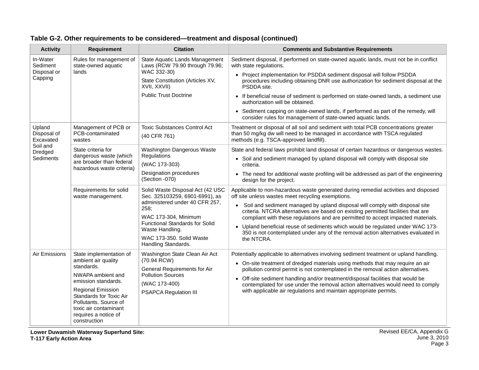| <b>Activity</b>                                | <b>Requirement</b>                                                                                                                         | <b>Citation</b>                                                                                                                                                               | <b>Comments and Substantive Requirements</b>                                                                                                                                                                 |
|------------------------------------------------|--------------------------------------------------------------------------------------------------------------------------------------------|-------------------------------------------------------------------------------------------------------------------------------------------------------------------------------|--------------------------------------------------------------------------------------------------------------------------------------------------------------------------------------------------------------|
| In-Water<br>Sediment<br>Disposal or<br>Capping | Rules for management of<br>state-owned aquatic<br>lands                                                                                    | State Aquatic Lands Management<br>Laws (RCW 79.90 through 79.96;<br>WAC 332-30)<br>State Constitution (Articles XV,<br>XVII, XXVII)                                           | Sediment disposal, if performed on state-owned aquatic lands, must not be in conflict<br>with state regulations.                                                                                             |
|                                                |                                                                                                                                            |                                                                                                                                                                               | • Project implementation for PSDDA sediment disposal will follow PSDDA<br>procedures including obtaining DNR use authorization for sediment disposal at the<br>PSDDA site.                                   |
|                                                |                                                                                                                                            | <b>Public Trust Doctrine</b>                                                                                                                                                  | • If beneficial reuse of sediment is performed on state-owned lands, a sediment use<br>authorization will be obtained.                                                                                       |
|                                                |                                                                                                                                            |                                                                                                                                                                               | • Sediment capping on state-owned lands, if performed as part of the remedy, will<br>consider rules for management of state-owned aquatic lands.                                                             |
| Upland<br>Disposal of<br>Excavated             | Management of PCB or<br>PCB-contaminated<br>wastes                                                                                         | <b>Toxic Substances Control Act</b><br>(40 CFR 761)                                                                                                                           | Treatment or disposal of all soil and sediment with total PCB concentrations greater<br>than 50 mg/kg dw will need to be managed in accordance with TSCA regulated<br>methods (e.g. TSCA-approved landfill). |
| Soil and<br>Dredged                            | State criteria for                                                                                                                         | Washington Dangerous Waste                                                                                                                                                    | State and federal laws prohibit land disposal of certain hazardous or dangerous wastes.                                                                                                                      |
| Sediments                                      | dangerous waste (which<br>are broader than federal<br>hazardous waste criteria)                                                            | Regulations<br>(WAC 173-303)                                                                                                                                                  | • Soil and sediment managed by upland disposal will comply with disposal site<br>criteria.                                                                                                                   |
|                                                |                                                                                                                                            | Designation procedures<br>(Section -070)                                                                                                                                      | • The need for additional waste profiling will be addressed as part of the engineering<br>design for the project.                                                                                            |
|                                                | Requirements for solid<br>waste management.                                                                                                | Solid Waste Disposal Act (42 USC<br>Sec. 325103259, 6901-6991), as                                                                                                            | Applicable to non-hazardous waste generated during remedial activities and disposed<br>off site unless wastes meet recycling exemptions.                                                                     |
|                                                |                                                                                                                                            | administered under 40 CFR 257,<br>258;<br>WAC 173-304, Minimum<br><b>Functional Standards for Solid</b><br>Waste Handling.<br>WAC 173-350. Solid Waste<br>Handling Standards. | Soil and sediment managed by upland disposal will comply with disposal site<br>$\bullet$<br>criteria. NTCRA alternatives are based on existing permitted facilities that are                                 |
|                                                |                                                                                                                                            |                                                                                                                                                                               | compliant with these regulations and are permitted to accept impacted materials.<br>• Upland beneficial reuse of sediments which would be regulated under WAC 173-                                           |
|                                                |                                                                                                                                            |                                                                                                                                                                               | 350 is not contemplated under any of the removal action alternatives evaluated in                                                                                                                            |
|                                                |                                                                                                                                            |                                                                                                                                                                               | the NTCRA.                                                                                                                                                                                                   |
| Air Emissions                                  | State implementation of                                                                                                                    | Washington State Clean Air Act                                                                                                                                                | Potentially applicable to alternatives involving sediment treatment or upland handling.                                                                                                                      |
|                                                | ambient air quality<br>standards.                                                                                                          | (70.94 RCW)<br>General Requirements for Air                                                                                                                                   | • On-site treatment of dredged materials using methods that may require an air<br>pollution control permit is not contemplated in the removal action alternatives.                                           |
|                                                | NWAPA ambient and<br>emission standards.                                                                                                   | <b>Pollution Sources</b>                                                                                                                                                      | • Off-site sediment handling and/or treatment/disposal facilities that would be                                                                                                                              |
|                                                | <b>Regional Emission</b>                                                                                                                   | (WAC 173-400)                                                                                                                                                                 | contemplated for use under the removal action alternatives would need to comply<br>with applicable air regulations and maintain appropriate permits.                                                         |
|                                                | PSAPCA Regulation III<br>Standards for Toxic Air<br>Pollutants. Source of<br>toxic air contaminant<br>requires a notice of<br>construction |                                                                                                                                                                               |                                                                                                                                                                                                              |

| Table G-2. Other requirements to be considered—treatment and disposal (continued) |  |
|-----------------------------------------------------------------------------------|--|
|-----------------------------------------------------------------------------------|--|

**Lower Duwamish Waterway Superfund Site: T-117 Early Action Area**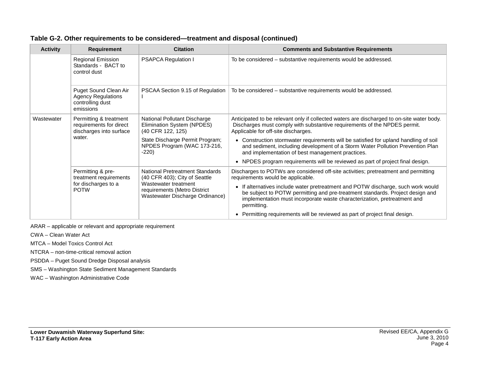| <b>Activity</b> | <b>Requirement</b>                                                                     | <b>Citation</b>                                                                                                                                             | <b>Comments and Substantive Requirements</b>                                                                                                                                                                                                                 |
|-----------------|----------------------------------------------------------------------------------------|-------------------------------------------------------------------------------------------------------------------------------------------------------------|--------------------------------------------------------------------------------------------------------------------------------------------------------------------------------------------------------------------------------------------------------------|
|                 | <b>Regional Emission</b><br>Standards - BACT to<br>control dust                        | <b>PSAPCA Regulation I</b>                                                                                                                                  | To be considered - substantive requirements would be addressed.                                                                                                                                                                                              |
|                 | Puget Sound Clean Air<br><b>Agency Regulations</b><br>controlling dust<br>emissions    | PSCAA Section 9.15 of Regulation                                                                                                                            | To be considered - substantive requirements would be addressed.                                                                                                                                                                                              |
| Wastewater      | Permitting & treatment<br>requirements for direct<br>discharges into surface<br>water. | National Pollutant Discharge<br>Elimination System (NPDES)<br>(40 CFR 122, 125)                                                                             | Anticipated to be relevant only if collected waters are discharged to on-site water body.<br>Discharges must comply with substantive requirements of the NPDES permit.<br>Applicable for off-site discharges.                                                |
|                 |                                                                                        | State Discharge Permit Program;<br>NPDES Program (WAC 173-216,<br>$-220$                                                                                    | • Construction stormwater requirements will be satisfied for upland handling of soil<br>and sediment, including development of a Storm Water Pollution Prevention Plan<br>and implementation of best management practices.                                   |
|                 |                                                                                        |                                                                                                                                                             | NPDES program requirements will be reviewed as part of project final design.<br>$\bullet$                                                                                                                                                                    |
|                 | Permitting & pre-<br>treatment requirements<br>for discharges to a<br><b>POTW</b>      | National Pretreatment Standards<br>(40 CFR 403); City of Seattle<br>Wastewater treatment<br>requirements (Metro District<br>Wastewater Discharge Ordinance) | Discharges to POTWs are considered off-site activities; pretreatment and permitting<br>requirements would be applicable.                                                                                                                                     |
|                 |                                                                                        |                                                                                                                                                             | • If alternatives include water pretreatment and POTW discharge, such work would<br>be subject to POTW permitting and pre-treatment standards. Project design and<br>implementation must incorporate waste characterization, pretreatment and<br>permitting. |
|                 |                                                                                        |                                                                                                                                                             | • Permitting requirements will be reviewed as part of project final design.                                                                                                                                                                                  |

**Table G-2. Other requirements to be considered—treatment and disposal (continued)**

ARAR – applicable or relevant and appropriate requirement

CWA – Clean Water Act

MTCA – Model Toxics Control Act

NTCRA – non-time-critical removal action

PSDDA – Puget Sound Dredge Disposal analysis

SMS – Washington State Sediment Management Standards

WAC – Washington Administrative Code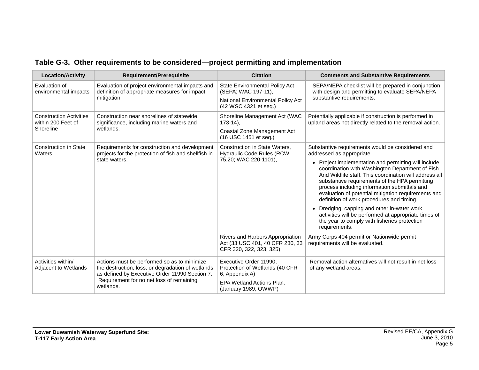| <b>Location/Activity</b>                             | <b>Requirement/Prerequisite</b>                                                                                                                    | <b>Citation</b>                                                                                | <b>Comments and Substantive Requirements</b>                                                                                                                                                                                                                                                                                                                            |
|------------------------------------------------------|----------------------------------------------------------------------------------------------------------------------------------------------------|------------------------------------------------------------------------------------------------|-------------------------------------------------------------------------------------------------------------------------------------------------------------------------------------------------------------------------------------------------------------------------------------------------------------------------------------------------------------------------|
| Evaluation of<br>environmental impacts               | Evaluation of project environmental impacts and<br>definition of appropriate measures for impact                                                   | <b>State Environmental Policy Act</b><br>(SEPA; WAC 197-11),                                   | SEPA/NEPA checklist will be prepared in conjunction<br>with design and permitting to evaluate SEPA/NEPA                                                                                                                                                                                                                                                                 |
|                                                      | mitigation                                                                                                                                         | National Environmental Policy Act<br>(42 WSC 4321 et seq.)                                     | substantive requirements.                                                                                                                                                                                                                                                                                                                                               |
| <b>Construction Activities</b><br>within 200 Feet of | Construction near shorelines of statewide<br>significance, including marine waters and<br>wetlands.                                                | Shoreline Management Act (WAC<br>$173-14$ ).                                                   | Potentially applicable if construction is performed in<br>upland areas not directly related to the removal action.                                                                                                                                                                                                                                                      |
| Shoreline                                            |                                                                                                                                                    | Coastal Zone Management Act<br>(16 USC 1451 et seq.)                                           |                                                                                                                                                                                                                                                                                                                                                                         |
| <b>Construction in State</b><br>Waters               | Requirements for construction and development<br>projects for the protection of fish and shellfish in<br>state waters.                             | Construction in State Waters,<br><b>Hydraulic Code Rules (RCW)</b>                             | Substantive requirements would be considered and<br>addressed as appropriate.                                                                                                                                                                                                                                                                                           |
|                                                      |                                                                                                                                                    | 75.20; WAC 220-1101),                                                                          | • Project implementation and permitting will include<br>coordination with Washington Department of Fish<br>And Wildlife staff. This coordination will address all<br>substantive requirements of the HPA permitting<br>process including information submittals and<br>evaluation of potential mitigation requirements and<br>definition of work procedures and timing. |
|                                                      |                                                                                                                                                    |                                                                                                | • Dredging, capping and other in-water work<br>activities will be performed at appropriate times of<br>the year to comply with fisheries protection<br>requirements.                                                                                                                                                                                                    |
|                                                      |                                                                                                                                                    | Rivers and Harbors Appropriation<br>Act (33 USC 401, 40 CFR 230, 33<br>CFR 320, 322, 323, 325) | Army Corps 404 permit or Nationwide permit<br>requirements will be evaluated.                                                                                                                                                                                                                                                                                           |
| Activities within/<br>Adjacent to Wetlands           | Actions must be performed so as to minimize<br>the destruction, loss, or degradation of wetlands<br>as defined by Executive Order 11990 Section 7. | Executive Order 11990,<br>Protection of Wetlands (40 CFR<br>6, Appendix A)                     | Removal action alternatives will not result in net loss<br>of any wetland areas.                                                                                                                                                                                                                                                                                        |
|                                                      | Requirement for no net loss of remaining<br>wetlands.                                                                                              | <b>EPA Wetland Actions Plan.</b><br>(January 1989, OWWP)                                       |                                                                                                                                                                                                                                                                                                                                                                         |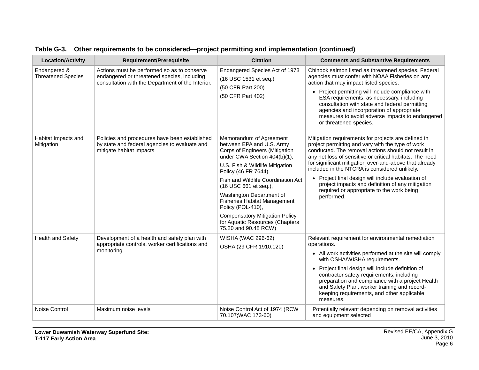| <b>Location/Activity</b>                  | <b>Requirement/Prerequisite</b>                                                                                                                 | <b>Citation</b>                                                                                                                                                                                                                                                                                                                                                                                                                              | <b>Comments and Substantive Requirements</b>                                                                                                                                                                                                                                                                                                                                                                                                                                                               |
|-------------------------------------------|-------------------------------------------------------------------------------------------------------------------------------------------------|----------------------------------------------------------------------------------------------------------------------------------------------------------------------------------------------------------------------------------------------------------------------------------------------------------------------------------------------------------------------------------------------------------------------------------------------|------------------------------------------------------------------------------------------------------------------------------------------------------------------------------------------------------------------------------------------------------------------------------------------------------------------------------------------------------------------------------------------------------------------------------------------------------------------------------------------------------------|
| Endangered &<br><b>Threatened Species</b> | Actions must be performed so as to conserve<br>endangered or threatened species, including<br>consultation with the Department of the Interior. | Endangered Species Act of 1973<br>(16 USC 1531 et seq.)<br>(50 CFR Part 200)<br>(50 CFR Part 402)                                                                                                                                                                                                                                                                                                                                            | Chinook salmon listed as threatened species. Federal<br>agencies must confer with NOAA Fisheries on any<br>action that may impact listed species.<br>• Project permitting will include compliance with<br>ESA requirements, as necessary, including<br>consultation with state and federal permitting<br>agencies and incorporation of appropriate<br>measures to avoid adverse impacts to endangered<br>or threatened species.                                                                            |
| Habitat Impacts and<br>Mitigation         | Policies and procedures have been established<br>by state and federal agencies to evaluate and<br>mitigate habitat impacts                      | Memorandum of Agreement<br>between EPA and U.S. Army<br>Corps of Engineers (Mitigation<br>under CWA Section 404(b)(1),<br>U.S. Fish & Wildlife Mitigation<br>Policy (46 FR 7644),<br>Fish and Wildlife Coordination Act<br>(16 USC 661 et seq.),<br>Washington Department of<br><b>Fisheries Habitat Management</b><br>Policy (POL-410),<br><b>Compensatory Mitigation Policy</b><br>for Aquatic Resources (Chapters<br>75.20 and 90.48 RCW) | Mitigation requirements for projects are defined in<br>project permitting and vary with the type of work<br>conducted. The removal actions should not result in<br>any net loss of sensitive or critical habitats. The need<br>for significant mitigation over-and-above that already<br>included in the NTCRA is considered unlikely.<br>• Project final design will include evaluation of<br>project impacts and definition of any mitigation<br>required or appropriate to the work being<br>performed. |
| <b>Health and Safety</b>                  | Development of a health and safety plan with<br>appropriate controls, worker certifications and<br>monitoring                                   | WISHA (WAC 296-62)<br>OSHA (29 CFR 1910.120)                                                                                                                                                                                                                                                                                                                                                                                                 | Relevant requirement for environmental remediation<br>operations.<br>• All work activities performed at the site will comply<br>with OSHA/WISHA requirements.<br>• Project final design will include definition of<br>contractor safety requirements, including<br>preparation and compliance with a project Health<br>and Safety Plan, worker training and record-<br>keeping requirements, and other applicable<br>measures.                                                                             |
| Noise Control                             | Maximum noise levels                                                                                                                            | Noise Control Act of 1974 (RCW<br>70.107; WAC 173-60)                                                                                                                                                                                                                                                                                                                                                                                        | Potentially relevant depending on removal activities<br>and equipment selected                                                                                                                                                                                                                                                                                                                                                                                                                             |

|  |  | Table G-3. Other requirements to be considered—project permitting and implementation (continued) |  |  |
|--|--|--------------------------------------------------------------------------------------------------|--|--|
|--|--|--------------------------------------------------------------------------------------------------|--|--|